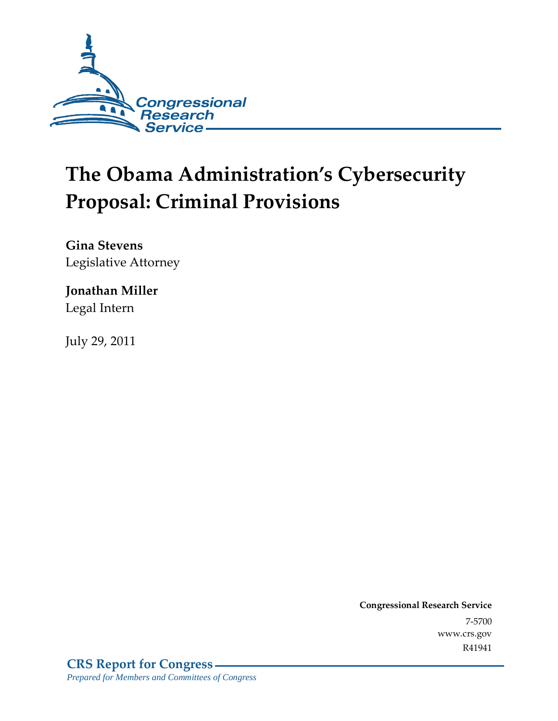

# **The Obama Administration's Cybersecurity Proposal: Criminal Provisions**

**Gina Stevens**  Legislative Attorney

#### **Jonathan Miller**  Legal Intern

July 29, 2011

**Congressional Research Service** 7-5700 www.crs.gov R41941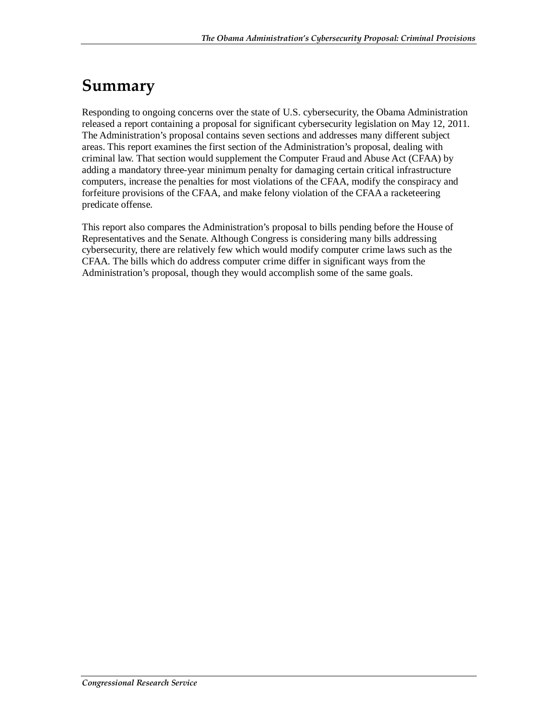## **Summary**

Responding to ongoing concerns over the state of U.S. cybersecurity, the Obama Administration released a report containing a proposal for significant cybersecurity legislation on May 12, 2011. The Administration's proposal contains seven sections and addresses many different subject areas. This report examines the first section of the Administration's proposal, dealing with criminal law. That section would supplement the Computer Fraud and Abuse Act (CFAA) by adding a mandatory three-year minimum penalty for damaging certain critical infrastructure computers, increase the penalties for most violations of the CFAA, modify the conspiracy and forfeiture provisions of the CFAA, and make felony violation of the CFAA a racketeering predicate offense.

This report also compares the Administration's proposal to bills pending before the House of Representatives and the Senate. Although Congress is considering many bills addressing cybersecurity, there are relatively few which would modify computer crime laws such as the CFAA. The bills which do address computer crime differ in significant ways from the Administration's proposal, though they would accomplish some of the same goals.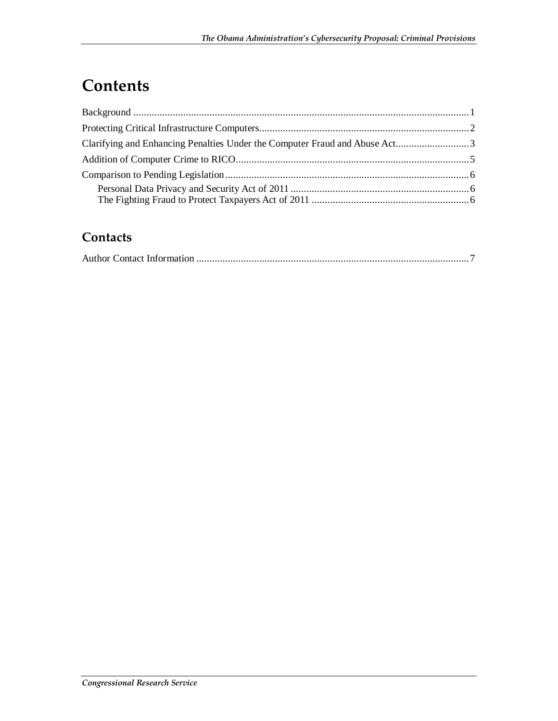# **Contents**

| Clarifying and Enhancing Penalties Under the Computer Fraud and Abuse Act3 |  |
|----------------------------------------------------------------------------|--|
|                                                                            |  |
|                                                                            |  |
|                                                                            |  |
|                                                                            |  |

#### **Contacts**

|--|--|--|--|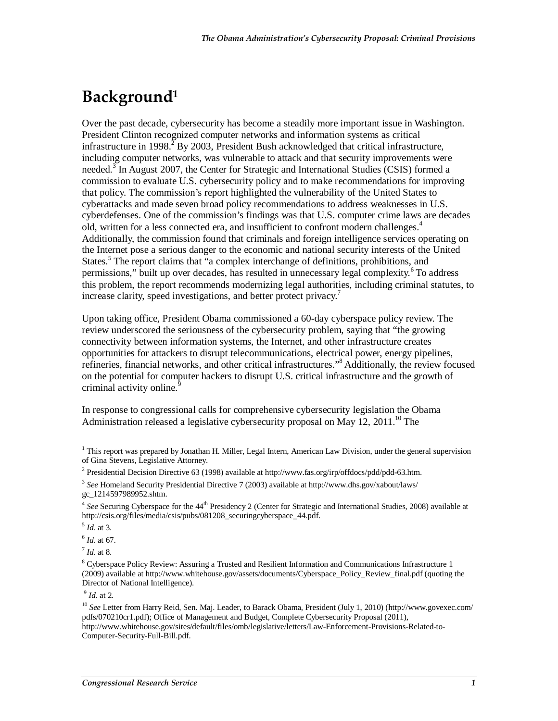#### **Background1**

Over the past decade, cybersecurity has become a steadily more important issue in Washington. President Clinton recognized computer networks and information systems as critical infrastructure in 1998.<sup>2</sup> By 2003, President Bush acknowledged that critical infrastructure, including computer networks, was vulnerable to attack and that security improvements were needed.<sup>3</sup> In August 2007, the Center for Strategic and International Studies (CSIS) formed a commission to evaluate U.S. cybersecurity policy and to make recommendations for improving that policy. The commission's report highlighted the vulnerability of the United States to cyberattacks and made seven broad policy recommendations to address weaknesses in U.S. cyberdefenses. One of the commission's findings was that U.S. computer crime laws are decades old, written for a less connected era, and insufficient to confront modern challenges.<sup>4</sup> Additionally, the commission found that criminals and foreign intelligence services operating on the Internet pose a serious danger to the economic and national security interests of the United States.<sup>5</sup> The report claims that "a complex interchange of definitions, prohibitions, and permissions," built up over decades, has resulted in unnecessary legal complexity.<sup>6</sup> To address this problem, the report recommends modernizing legal authorities, including criminal statutes, to increase clarity, speed investigations, and better protect privacy.<sup>7</sup>

Upon taking office, President Obama commissioned a 60-day cyberspace policy review. The review underscored the seriousness of the cybersecurity problem, saying that "the growing connectivity between information systems, the Internet, and other infrastructure creates opportunities for attackers to disrupt telecommunications, electrical power, energy pipelines, refineries, financial networks, and other critical infrastructures."<sup>8</sup> Additionally, the review focused on the potential for computer hackers to disrupt U.S. critical infrastructure and the growth of criminal activity online.<sup>9</sup>

In response to congressional calls for comprehensive cybersecurity legislation the Obama Administration released a legislative cybersecurity proposal on May 12, 2011.<sup>10</sup> The

<sup>5</sup> *Id.* at 3.

<sup>9</sup> *Id.* at 2.

This report was prepared by Jonathan H. Miller, Legal Intern, American Law Division, under the general supervision of Gina Stevens, Legislative Attorney.

<sup>&</sup>lt;sup>2</sup> Presidential Decision Directive 63 (1998) available at http://www.fas.org/irp/offdocs/pdd/pdd-63.htm.

<sup>3</sup> *See* Homeland Security Presidential Directive 7 (2003) available at http://www.dhs.gov/xabout/laws/ gc\_1214597989952.shtm.

<sup>&</sup>lt;sup>4</sup> See Securing Cyberspace for the 44<sup>th</sup> Presidency 2 (Center for Strategic and International Studies, 2008) available at http://csis.org/files/media/csis/pubs/081208\_securingcyberspace\_44.pdf.

 $^{6}$  *Id.* at 67.<br> $^{7}$  *Id.* at 8.

<sup>&</sup>lt;sup>8</sup> Cyberspace Policy Review: Assuring a Trusted and Resilient Information and Communications Infrastructure 1 (2009) available at http://www.whitehouse.gov/assets/documents/Cyberspace\_Policy\_Review\_final.pdf (quoting the Director of National Intelligence).

<sup>10</sup> *See* Letter from Harry Reid, Sen. Maj. Leader, to Barack Obama, President (July 1, 2010) (http://www.govexec.com/ pdfs/070210cr1.pdf); Office of Management and Budget, Complete Cybersecurity Proposal (2011), http://www.whitehouse.gov/sites/default/files/omb/legislative/letters/Law-Enforcement-Provisions-Related-to-Computer-Security-Full-Bill.pdf.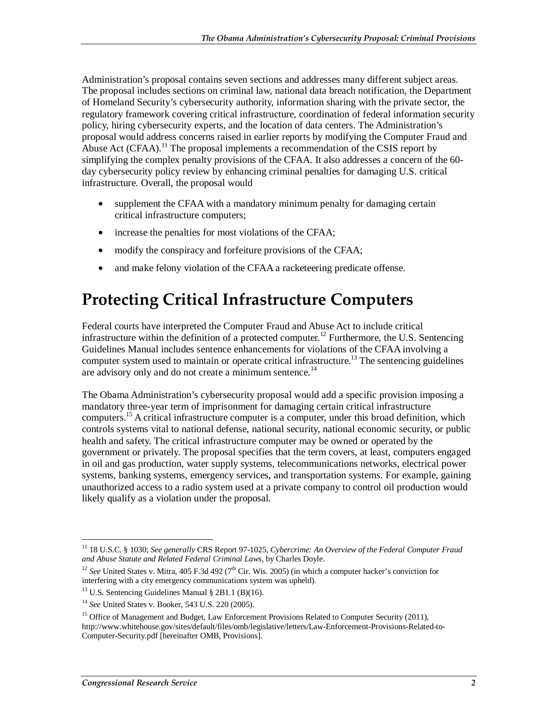Administration's proposal contains seven sections and addresses many different subject areas. The proposal includes sections on criminal law, national data breach notification, the Department of Homeland Security's cybersecurity authority, information sharing with the private sector, the regulatory framework covering critical infrastructure, coordination of federal information security policy, hiring cybersecurity experts, and the location of data centers. The Administration's proposal would address concerns raised in earlier reports by modifying the Computer Fraud and Abuse Act (CFAA).<sup>11</sup> The proposal implements a recommendation of the CSIS report by simplifying the complex penalty provisions of the CFAA. It also addresses a concern of the 60 day cybersecurity policy review by enhancing criminal penalties for damaging U.S. critical infrastructure. Overall, the proposal would

- supplement the CFAA with a mandatory minimum penalty for damaging certain critical infrastructure computers;
- increase the penalties for most violations of the CFAA;
- modify the conspiracy and forfeiture provisions of the CFAA;
- and make felony violation of the CFAA a racketeering predicate offense.

#### **Protecting Critical Infrastructure Computers**

Federal courts have interpreted the Computer Fraud and Abuse Act to include critical infrastructure within the definition of a protected computer.<sup>12</sup> Furthermore, the U.S. Sentencing Guidelines Manual includes sentence enhancements for violations of the CFAA involving a computer system used to maintain or operate critical infrastructure.<sup>13</sup> The sentencing guidelines are advisory only and do not create a minimum sentence.<sup>14</sup>

The Obama Administration's cybersecurity proposal would add a specific provision imposing a mandatory three-year term of imprisonment for damaging certain critical infrastructure computers.15 A critical infrastructure computer is a computer, under this broad definition, which controls systems vital to national defense, national security, national economic security, or public health and safety. The critical infrastructure computer may be owned or operated by the government or privately. The proposal specifies that the term covers, at least, computers engaged in oil and gas production, water supply systems, telecommunications networks, electrical power systems, banking systems, emergency services, and transportation systems. For example, gaining unauthorized access to a radio system used at a private company to control oil production would likely qualify as a violation under the proposal.

<sup>-</sup>11 18 U.S.C. § 1030; *See generally* CRS Report 97-1025, *Cybercrime: An Overview of the Federal Computer Fraud and Abuse Statute and Related Federal Criminal Laws*, by Charles Doyle.

<sup>&</sup>lt;sup>12</sup> See United States v. Mitra, 405 F.3d 492 (7<sup>th</sup> Cir. Wis. 2005) (in which a computer hacker's conviction for interfering with a city emergency communications system was upheld).

 $13$  U.S. Sentencing Guidelines Manual § 2B1.1 (B)(16).

<sup>14</sup> *See* United States v. Booker, 543 U.S. 220 (2005).

<sup>&</sup>lt;sup>15</sup> Office of Management and Budget, Law Enforcement Provisions Related to Computer Security (2011), http://www.whitehouse.gov/sites/default/files/omb/legislative/letters/Law-Enforcement-Provisions-Related-to-Computer-Security.pdf [hereinafter OMB, Provisions].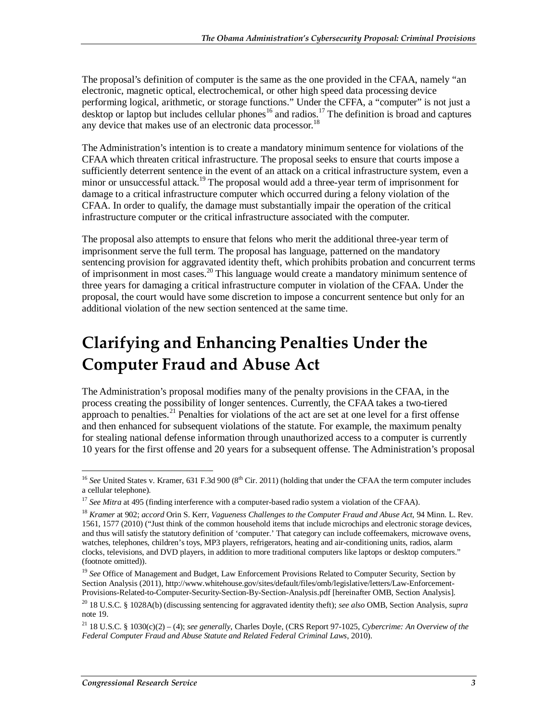The proposal's definition of computer is the same as the one provided in the CFAA, namely "an electronic, magnetic optical, electrochemical, or other high speed data processing device performing logical, arithmetic, or storage functions." Under the CFFA, a "computer" is not just a desktop or laptop but includes cellular phones<sup>16</sup> and radios.<sup>17</sup> The definition is broad and captures any device that makes use of an electronic data processor.<sup>18</sup>

The Administration's intention is to create a mandatory minimum sentence for violations of the CFAA which threaten critical infrastructure. The proposal seeks to ensure that courts impose a sufficiently deterrent sentence in the event of an attack on a critical infrastructure system, even a minor or unsuccessful attack.<sup>19</sup> The proposal would add a three-year term of imprisonment for damage to a critical infrastructure computer which occurred during a felony violation of the CFAA. In order to qualify, the damage must substantially impair the operation of the critical infrastructure computer or the critical infrastructure associated with the computer.

The proposal also attempts to ensure that felons who merit the additional three-year term of imprisonment serve the full term. The proposal has language, patterned on the mandatory sentencing provision for aggravated identity theft, which prohibits probation and concurrent terms of imprisonment in most cases.20 This language would create a mandatory minimum sentence of three years for damaging a critical infrastructure computer in violation of the CFAA. Under the proposal, the court would have some discretion to impose a concurrent sentence but only for an additional violation of the new section sentenced at the same time.

## **Clarifying and Enhancing Penalties Under the Computer Fraud and Abuse Act**

The Administration's proposal modifies many of the penalty provisions in the CFAA, in the process creating the possibility of longer sentences. Currently, the CFAA takes a two-tiered approach to penalties.<sup>21</sup> Penalties for violations of the act are set at one level for a first offense and then enhanced for subsequent violations of the statute. For example, the maximum penalty for stealing national defense information through unauthorized access to a computer is currently 10 years for the first offense and 20 years for a subsequent offense. The Administration's proposal

<sup>-</sup><sup>16</sup> See United States v. Kramer, 631 F.3d 900 (8<sup>th</sup> Cir. 2011) (holding that under the CFAA the term computer includes a cellular telephone).

<sup>&</sup>lt;sup>17</sup> See Mitra at 495 (finding interference with a computer-based radio system a violation of the CFAA).

<sup>18</sup> *Kramer* at 902; *accord* Orin S. Kerr, *Vagueness Challenges to the Computer Fraud and Abuse Act*, 94 Minn. L. Rev. 1561, 1577 (2010) ("Just think of the common household items that include microchips and electronic storage devices, and thus will satisfy the statutory definition of 'computer.' That category can include coffeemakers, microwave ovens, watches, telephones, children's toys, MP3 players, refrigerators, heating and air-conditioning units, radios, alarm clocks, televisions, and DVD players, in addition to more traditional computers like laptops or desktop computers." (footnote omitted)).

<sup>&</sup>lt;sup>19</sup> See Office of Management and Budget, Law Enforcement Provisions Related to Computer Security, Section by Section Analysis (2011), http://www.whitehouse.gov/sites/default/files/omb/legislative/letters/Law-Enforcement-Provisions-Related-to-Computer-Security-Section-By-Section-Analysis.pdf [hereinafter OMB, Section Analysis].

<sup>20 18</sup> U.S.C. § 1028A(b) (discussing sentencing for aggravated identity theft); *see also* OMB, Section Analysis, *supra* note 19.

<sup>21 18</sup> U.S.C. § 1030(c)(2) – (4); *see generally*, Charles Doyle, (CRS Report 97-1025, *Cybercrime: An Overview of the Federal Computer Fraud and Abuse Statute and Related Federal Criminal Laws*, 2010).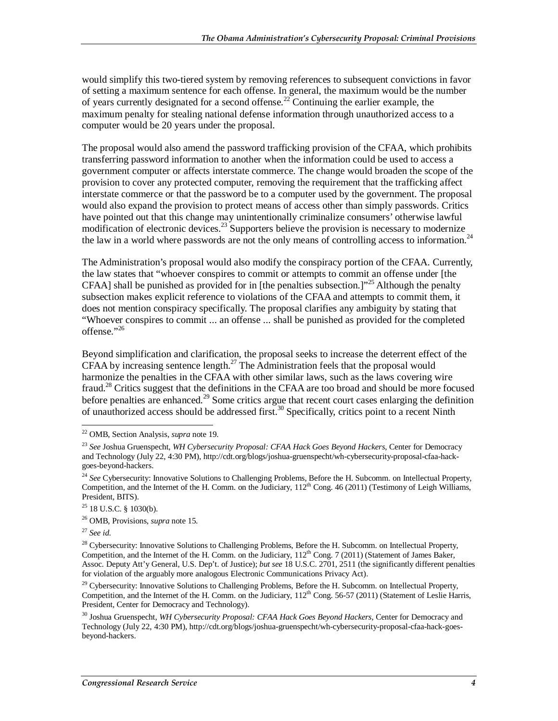would simplify this two-tiered system by removing references to subsequent convictions in favor of setting a maximum sentence for each offense. In general, the maximum would be the number of years currently designated for a second offense.<sup>22</sup> Continuing the earlier example, the maximum penalty for stealing national defense information through unauthorized access to a computer would be 20 years under the proposal.

The proposal would also amend the password trafficking provision of the CFAA, which prohibits transferring password information to another when the information could be used to access a government computer or affects interstate commerce. The change would broaden the scope of the provision to cover any protected computer, removing the requirement that the trafficking affect interstate commerce or that the password be to a computer used by the government. The proposal would also expand the provision to protect means of access other than simply passwords. Critics have pointed out that this change may unintentionally criminalize consumers' otherwise lawful modification of electronic devices.<sup>23</sup> Supporters believe the provision is necessary to modernize the law in a world where passwords are not the only means of controlling access to information.<sup>24</sup>

The Administration's proposal would also modify the conspiracy portion of the CFAA. Currently, the law states that "whoever conspires to commit or attempts to commit an offense under [the CFAA] shall be punished as provided for in [the penalties subsection.]<sup>"25</sup> Although the penalty subsection makes explicit reference to violations of the CFAA and attempts to commit them, it does not mention conspiracy specifically. The proposal clarifies any ambiguity by stating that "Whoever conspires to commit ... an offense ... shall be punished as provided for the completed offense."26

Beyond simplification and clarification, the proposal seeks to increase the deterrent effect of the CFAA by increasing sentence length.<sup>27</sup> The Administration feels that the proposal would harmonize the penalties in the CFAA with other similar laws, such as the laws covering wire fraud.<sup>28</sup> Critics suggest that the definitions in the CFAA are too broad and should be more focused before penalties are enhanced.<sup>29</sup> Some critics argue that recent court cases enlarging the definition of unauthorized access should be addressed first.<sup>30</sup> Specifically, critics point to a recent Ninth

<sup>27</sup> *See id*.

 $\frac{1}{2}$ 

<sup>22</sup> OMB, Section Analysis, *supra* note 19.

<sup>23</sup> *See* Joshua Gruenspecht, *WH Cybersecurity Proposal: CFAA Hack Goes Beyond Hackers*, Center for Democracy and Technology (July 22, 4:30 PM), http://cdt.org/blogs/joshua-gruenspecht/wh-cybersecurity-proposal-cfaa-hackgoes-beyond-hackers.

<sup>&</sup>lt;sup>24</sup> See Cybersecurity: Innovative Solutions to Challenging Problems, Before the H. Subcomm. on Intellectual Property, Competition, and the Internet of the H. Comm. on the Judiciary,  $112^{th}$  Cong. 46 (2011) (Testimony of Leigh Williams, President, BITS).

 $25$  18 U.S.C. § 1030(b).

<sup>26</sup> OMB, Provisions, *supra* note 15.

<sup>&</sup>lt;sup>28</sup> Cybersecurity: Innovative Solutions to Challenging Problems, Before the H. Subcomm. on Intellectual Property, Competition, and the Internet of the H. Comm. on the Judiciary,  $112<sup>th</sup>$  Cong. 7 (2011) (Statement of James Baker, Assoc. Deputy Att'y General, U.S. Dep't. of Justice); *but see* 18 U.S.C. 2701, 2511 (the significantly different penalties for violation of the arguably more analogous Electronic Communications Privacy Act).

 $^{29}$  Cybersecurity: Innovative Solutions to Challenging Problems, Before the H. Subcomm. on Intellectual Property, Competition, and the Internet of the H. Comm. on the Judiciary,  $112<sup>th</sup>$  Cong. 56-57 (2011) (Statement of Leslie Harris, President, Center for Democracy and Technology).

<sup>30</sup> Joshua Gruenspecht, *WH Cybersecurity Proposal: CFAA Hack Goes Beyond Hackers*, Center for Democracy and Technology (July 22, 4:30 PM), http://cdt.org/blogs/joshua-gruenspecht/wh-cybersecurity-proposal-cfaa-hack-goesbeyond-hackers.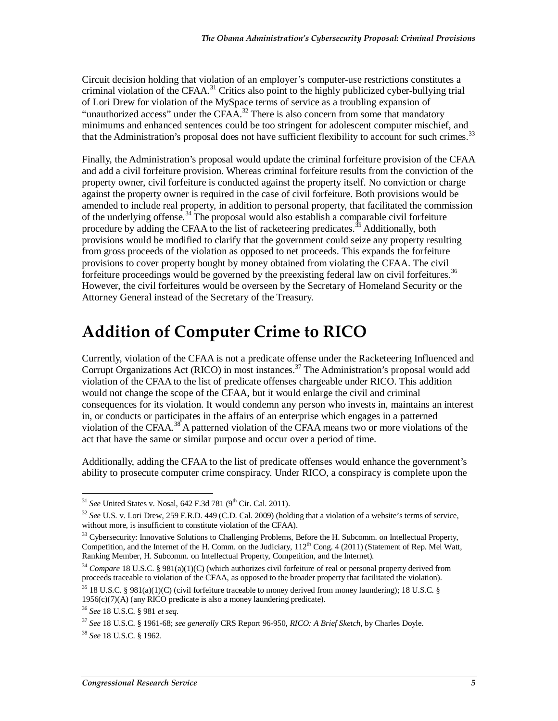Circuit decision holding that violation of an employer's computer-use restrictions constitutes a criminal violation of the CFAA.<sup>31</sup> Critics also point to the highly publicized cyber-bullying trial of Lori Drew for violation of the MySpace terms of service as a troubling expansion of "unauthorized access" under the CFAA.<sup>32</sup> There is also concern from some that mandatory minimums and enhanced sentences could be too stringent for adolescent computer mischief, and that the Administration's proposal does not have sufficient flexibility to account for such crimes.<sup>33</sup>

Finally, the Administration's proposal would update the criminal forfeiture provision of the CFAA and add a civil forfeiture provision. Whereas criminal forfeiture results from the conviction of the property owner, civil forfeiture is conducted against the property itself. No conviction or charge against the property owner is required in the case of civil forfeiture. Both provisions would be amended to include real property, in addition to personal property, that facilitated the commission of the underlying offense.<sup>34</sup> The proposal would also establish a comparable civil forfeiture procedure by adding the CFAA to the list of racketeering predicates.<sup>35</sup> Additionally, both provisions would be modified to clarify that the government could seize any property resulting from gross proceeds of the violation as opposed to net proceeds. This expands the forfeiture provisions to cover property bought by money obtained from violating the CFAA. The civil forfeiture proceedings would be governed by the preexisting federal law on civil forfeitures.<sup>36</sup> However, the civil forfeitures would be overseen by the Secretary of Homeland Security or the Attorney General instead of the Secretary of the Treasury.

## **Addition of Computer Crime to RICO**

Currently, violation of the CFAA is not a predicate offense under the Racketeering Influenced and Corrupt Organizations Act (RICO) in most instances.<sup>37</sup> The Administration's proposal would add violation of the CFAA to the list of predicate offenses chargeable under RICO. This addition would not change the scope of the CFAA, but it would enlarge the civil and criminal consequences for its violation. It would condemn any person who invests in, maintains an interest in, or conducts or participates in the affairs of an enterprise which engages in a patterned violation of the CFAA.<sup>38</sup> A patterned violation of the CFAA means two or more violations of the act that have the same or similar purpose and occur over a period of time.

Additionally, adding the CFAA to the list of predicate offenses would enhance the government's ability to prosecute computer crime conspiracy. Under RICO, a conspiracy is complete upon the

<sup>37</sup> *See* 18 U.S.C. § 1961-68; *see generally* CRS Report 96-950, *RICO: A Brief Sketch*, by Charles Doyle.

<sup>-</sup><sup>31</sup> *See* United States v. Nosal, 642 F.3d 781 (9<sup>th</sup> Cir. Cal. 2011).

<sup>32</sup> *See* U.S. v. Lori Drew, 259 F.R.D. 449 (C.D. Cal. 2009) (holding that a violation of a website's terms of service, without more, is insufficient to constitute violation of the CFAA).

<sup>&</sup>lt;sup>33</sup> Cybersecurity: Innovative Solutions to Challenging Problems, Before the H. Subcomm. on Intellectual Property, Competition, and the Internet of the H. Comm. on the Judiciary, 112<sup>th</sup> Cong. 4 (2011) (Statement of Rep. Mel Watt, Ranking Member, H. Subcomm. on Intellectual Property, Competition, and the Internet).

<sup>34</sup> *Compare* 18 U.S.C. § 981(a)(1)(C) (which authorizes civil forfeiture of real or personal property derived from proceeds traceable to violation of the CFAA, as opposed to the broader property that facilitated the violation).

<sup>&</sup>lt;sup>35</sup> 18 U.S.C. § 981(a)(1)(C) (civil forfeiture traceable to money derived from money laundering); 18 U.S.C. § 1956(c)(7)(A) (any RICO predicate is also a money laundering predicate).

<sup>36</sup> *See* 18 U.S.C. § 981 *et seq.*

<sup>38</sup> *See* 18 U.S.C. § 1962.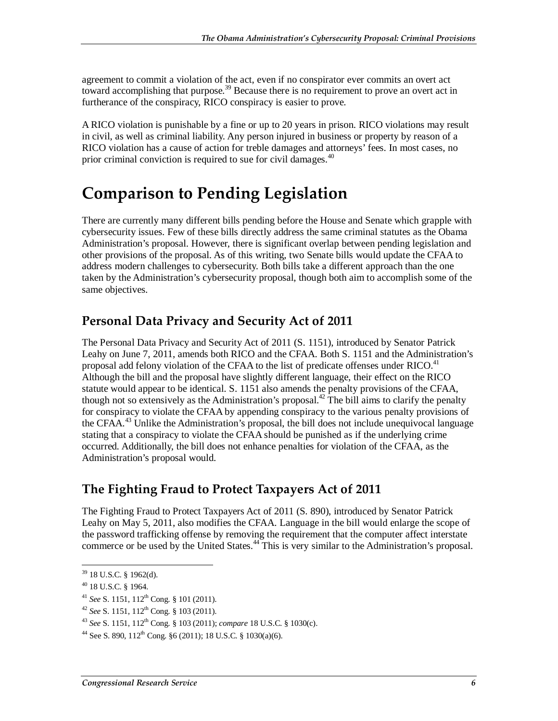agreement to commit a violation of the act, even if no conspirator ever commits an overt act toward accomplishing that purpose.<sup>39</sup> Because there is no requirement to prove an overt act in furtherance of the conspiracy, RICO conspiracy is easier to prove.

A RICO violation is punishable by a fine or up to 20 years in prison. RICO violations may result in civil, as well as criminal liability. Any person injured in business or property by reason of a RICO violation has a cause of action for treble damages and attorneys' fees. In most cases, no prior criminal conviction is required to sue for civil damages.<sup>40</sup>

### **Comparison to Pending Legislation**

There are currently many different bills pending before the House and Senate which grapple with cybersecurity issues. Few of these bills directly address the same criminal statutes as the Obama Administration's proposal. However, there is significant overlap between pending legislation and other provisions of the proposal. As of this writing, two Senate bills would update the CFAA to address modern challenges to cybersecurity. Both bills take a different approach than the one taken by the Administration's cybersecurity proposal, though both aim to accomplish some of the same objectives.

#### **Personal Data Privacy and Security Act of 2011**

The Personal Data Privacy and Security Act of 2011 (S. 1151), introduced by Senator Patrick Leahy on June 7, 2011, amends both RICO and the CFAA. Both S. 1151 and the Administration's proposal add felony violation of the CFAA to the list of predicate offenses under RICO.<sup>41</sup> Although the bill and the proposal have slightly different language, their effect on the RICO statute would appear to be identical. S. 1151 also amends the penalty provisions of the CFAA, though not so extensively as the Administration's proposal.<sup>42</sup> The bill aims to clarify the penalty for conspiracy to violate the CFAA by appending conspiracy to the various penalty provisions of the CFAA. $43$  Unlike the Administration's proposal, the bill does not include unequivocal language stating that a conspiracy to violate the CFAA should be punished as if the underlying crime occurred. Additionally, the bill does not enhance penalties for violation of the CFAA, as the Administration's proposal would.

#### **The Fighting Fraud to Protect Taxpayers Act of 2011**

The Fighting Fraud to Protect Taxpayers Act of 2011 (S. 890), introduced by Senator Patrick Leahy on May 5, 2011, also modifies the CFAA. Language in the bill would enlarge the scope of the password trafficking offense by removing the requirement that the computer affect interstate commerce or be used by the United States.<sup>44</sup> This is very similar to the Administration's proposal.

-

 $39$  18 U.S.C. § 1962(d).

<sup>40 18</sup> U.S.C. § 1964.

<sup>41</sup> *See* S. 1151, 112th Cong. § 101 (2011).

<sup>42</sup> *See* S. 1151, 112th Cong. § 103 (2011).

<sup>43</sup> *See* S. 1151, 112th Cong. § 103 (2011); *compare* 18 U.S.C. § 1030(c).

<sup>&</sup>lt;sup>44</sup> See S. 890,  $112^{th}$  Cong. §6 (2011); 18 U.S.C. § 1030(a)(6).